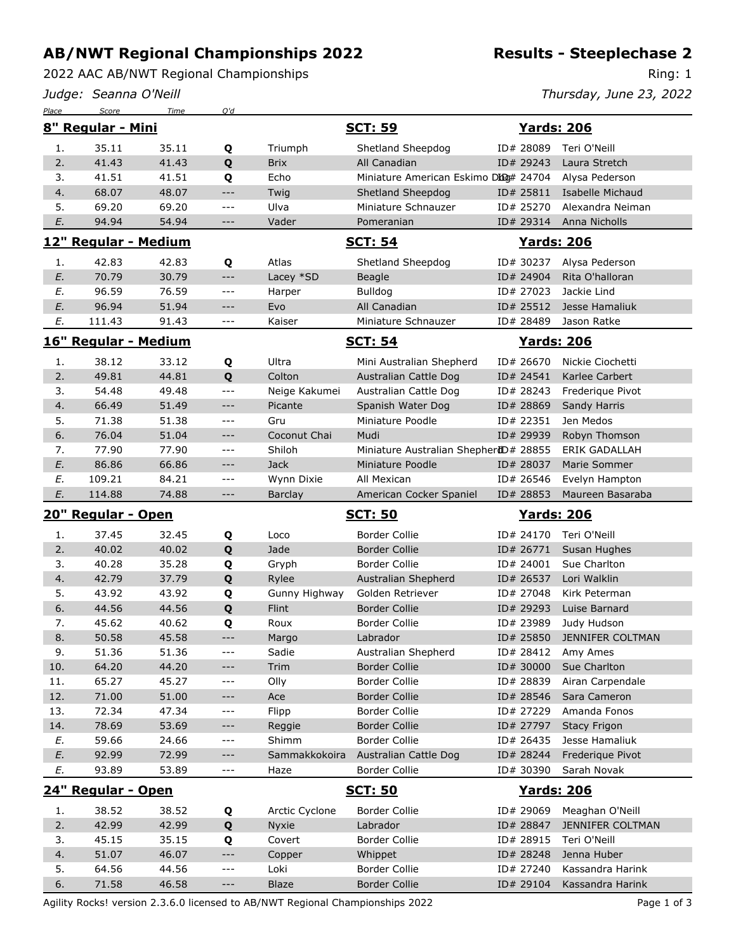## **AB/NWT Regional Championships 2022**

2022 AAC AB/NWT Regional Championships

*Judge: Seanna O'Neill*

Ring: 1

*Thursday, June 23, 2022*

| Place                | Score                | Time           | Q'd          |                |                                       |                        |                                  |  |
|----------------------|----------------------|----------------|--------------|----------------|---------------------------------------|------------------------|----------------------------------|--|
| 8" Regular - Mini    |                      |                |              | <u>SCT: 59</u> |                                       | <b>Yards: 206</b>      |                                  |  |
| 1.                   | 35.11                | 35.11          | Q            | Triumph        | Shetland Sheepdog                     | ID# 28089              | Teri O'Neill                     |  |
| 2.                   | 41.43                | 41.43          | Q            | <b>Brix</b>    | All Canadian                          | ID# 29243              | Laura Stretch                    |  |
| 3.                   | 41.51                | 41.51          | Q            | Echo           | Miniature American Eskimo Dbo# 24704  |                        | Alysa Pederson                   |  |
| 4.                   | 68.07                | 48.07          | $---$        | Twig           | Shetland Sheepdog                     | ID# 25811              | Isabelle Michaud                 |  |
| 5.                   | 69.20                | 69.20          | $---$        | Ulva           | Miniature Schnauzer                   | ID# 25270              | Alexandra Neiman                 |  |
| E.                   | 94.94                | 54.94          | $---$        | Vader          | Pomeranian                            | ID# 29314              | Anna Nicholls                    |  |
| 12" Regular - Medium |                      |                |              | <b>SCT: 54</b> |                                       | <b>Yards: 206</b>      |                                  |  |
| 1.                   | 42.83                | 42.83          | Q            | Atlas          | Shetland Sheepdog                     | ID# 30237              | Alysa Pederson                   |  |
| E.                   | 70.79                | 30.79          | $---$        | Lacey *SD      | Beagle                                | ID# 24904              | Rita O'halloran                  |  |
| Е.                   | 96.59                | 76.59          | $---$        | Harper         | <b>Bulldog</b>                        | ID# 27023              | Jackie Lind                      |  |
| E.                   | 96.94                | 51.94          | $---$        | Evo            | All Canadian                          | ID# 25512              | Jesse Hamaliuk                   |  |
| E.                   | 111.43               | 91.43          | $ -$         | Kaiser         | Miniature Schnauzer                   | ID# 28489              | Jason Ratke                      |  |
|                      |                      |                |              |                |                                       |                        |                                  |  |
|                      | 16" Regular - Medium |                |              |                | <b>SCT: 54</b>                        |                        | <b>Yards: 206</b>                |  |
| 1.                   | 38.12                | 33.12          | Q            | Ultra          | Mini Australian Shepherd              | ID# 26670              | Nickie Ciochetti                 |  |
| 2.                   | 49.81                | 44.81          | Q            | Colton         | Australian Cattle Dog                 | ID# 24541              | Karlee Carbert                   |  |
| 3.                   | 54.48                | 49.48          | $- - -$      | Neige Kakumei  | Australian Cattle Dog                 | ID# 28243              | Frederique Pivot                 |  |
| 4.                   | 66.49                | 51.49          | $---$        | Picante        | Spanish Water Dog                     | ID# 28869              | Sandy Harris                     |  |
| 5.                   | 71.38                | 51.38          | $ -$         | Gru            | Miniature Poodle                      | ID# 22351              | Jen Medos                        |  |
| 6.                   | 76.04                | 51.04          | $---$        | Coconut Chai   | Mudi                                  | ID# 29939              | Robyn Thomson                    |  |
| 7.                   | 77.90                | 77.90          | $---$        | Shiloh         | Miniature Australian ShepherdD# 28855 |                        | <b>ERIK GADALLAH</b>             |  |
| E.                   | 86.86                | 66.86          | $---$        | <b>Jack</b>    | Miniature Poodle                      | ID# 28037              | Marie Sommer                     |  |
| E.                   | 109.21               | 84.21          | ---          | Wynn Dixie     | All Mexican                           | ID# 26546              | Evelyn Hampton                   |  |
| E.                   | 114.88               | 74.88          | $---$        | Barclay        | American Cocker Spaniel               | ID# 28853              | Maureen Basaraba                 |  |
| 20" Regular - Open   |                      |                |              |                |                                       |                        |                                  |  |
|                      |                      |                |              |                | <b>SCT: 50</b>                        | <b>Yards: 206</b>      |                                  |  |
| 1.                   | 37.45                | 32.45          |              | Loco           | <b>Border Collie</b>                  | ID# 24170              | Teri O'Neill                     |  |
| 2.                   | 40.02                | 40.02          | Q            | Jade           | <b>Border Collie</b>                  | ID# 26771              | Susan Hughes                     |  |
| 3.                   | 40.28                | 35.28          | Q            |                | <b>Border Collie</b>                  | ID# 24001              | Sue Charlton                     |  |
| 4.                   | 42.79                | 37.79          | Q            | Gryph<br>Rylee | Australian Shepherd                   | ID# 26537              | Lori Walklin                     |  |
| 5.                   | 43.92                | 43.92          | Q            | Gunny Highway  | Golden Retriever                      | ID# 27048              | Kirk Peterman                    |  |
| 6.                   | 44.56                | 44.56          | Q            | Flint          | <b>Border Collie</b>                  | ID# 29293              | Luise Barnard                    |  |
| 7.                   | 45.62                | 40.62          | Q            | Roux           | <b>Border Collie</b>                  | ID# 23989              | Judy Hudson                      |  |
| 8.                   | 50.58                | 45.58          | Q<br>---     | Margo          | Labrador                              | ID# 25850              | <b>JENNIFER COLTMAN</b>          |  |
| 9.                   | 51.36                | 51.36          | $---$        | Sadie          | Australian Shepherd                   | ID# 28412              | Amy Ames                         |  |
| 10.                  | 64.20                | 44.20          | ---          | Trim           | <b>Border Collie</b>                  | ID# 30000              | Sue Charlton                     |  |
|                      | 65.27                | 45.27          | ---          |                | Border Collie                         |                        |                                  |  |
| 11.<br>12.           | 71.00                | 51.00          | ---          | Olly<br>Ace    | <b>Border Collie</b>                  | ID# 28839<br>ID# 28546 | Airan Carpendale<br>Sara Cameron |  |
| 13.                  | 72.34                | 47.34          | $- - -$      | Flipp          | <b>Border Collie</b>                  | ID# 27229              | Amanda Fonos                     |  |
| 14.                  | 78.69                | 53.69          | ---          | Reggie         | <b>Border Collie</b>                  | ID# 27797              | <b>Stacy Frigon</b>              |  |
| E.                   | 59.66                | 24.66          | $--$         | Shimm          | Border Collie                         | ID# 26435              | Jesse Hamaliuk                   |  |
| E.                   | 92.99                | 72.99          | $---$        | Sammakkokoira  | Australian Cattle Dog                 | ID# 28244              | Frederigue Pivot                 |  |
| Е.                   | 93.89                | 53.89          | ---          | Haze           | Border Collie                         | ID# 30390              | Sarah Novak                      |  |
|                      | 24" Regular - Open   |                |              |                | <u>SCT: 50</u>                        | <u>Yards: 206</u>      |                                  |  |
|                      |                      |                |              |                |                                       |                        |                                  |  |
| 1.                   | 38.52                | 38.52          | Q            | Arctic Cyclone | <b>Border Collie</b>                  | ID# 29069              | Meaghan O'Neill                  |  |
| 2.                   | 42.99                | 42.99          | Q            | Nyxie          | Labrador                              | ID# 28847              | JENNIFER COLTMAN                 |  |
| 3.                   | 45.15                | 35.15          | Q            | Covert         | <b>Border Collie</b>                  | ID# 28915              | Teri O'Neill                     |  |
| 4.<br>5.             | 51.07<br>64.56       | 46.07<br>44.56 | ---<br>$---$ | Copper<br>Loki | Whippet<br><b>Border Collie</b>       | ID# 28248<br>ID# 27240 | Jenna Huber<br>Kassandra Harink  |  |

Agility Rocks! version 2.3.6.0 licensed to AB/NWT Regional Championships 2022 Page 1 of 3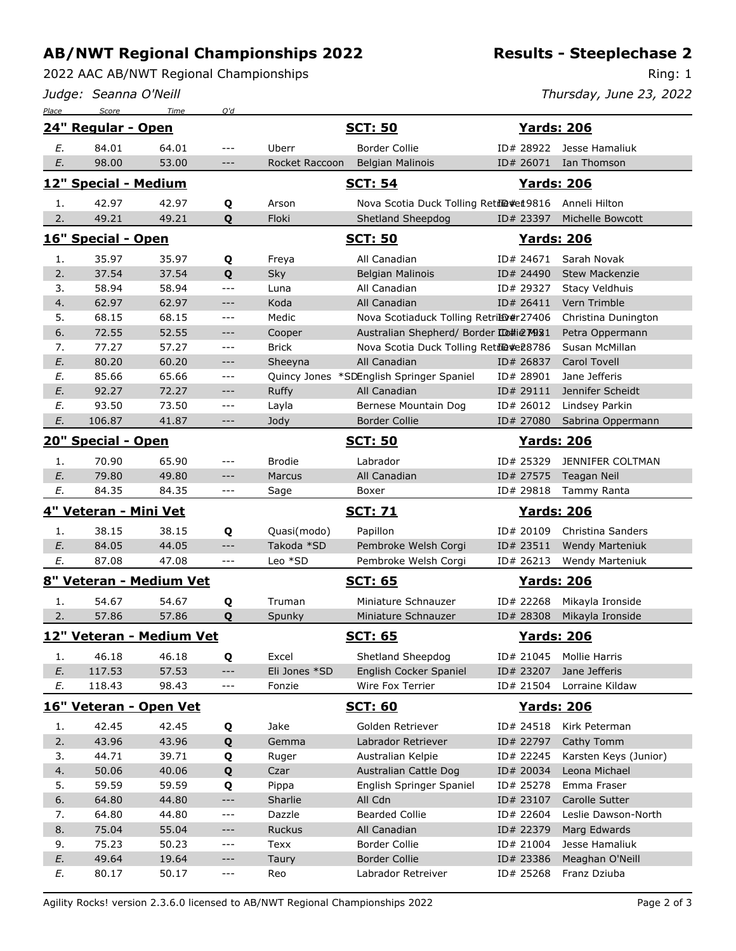## **AB/NWT Regional Championships 2022**

2022 AAC AB/NWT Regional Championships

*Judge: Seanna O'Neill*

**Results - Steeplechase 2**

Ring: 1

*Thursday, June 23, 2022*

| Place                 | Score                    | Time           | Q'd                 |                |                                          |                        |                             |  |  |
|-----------------------|--------------------------|----------------|---------------------|----------------|------------------------------------------|------------------------|-----------------------------|--|--|
|                       | 24" Regular - Open       |                |                     |                | <b>SCT: 50</b>                           | <b>Yards: 206</b>      |                             |  |  |
| E.                    | 84.01                    | 64.01          | $---$               | Uberr          | <b>Border Collie</b>                     | ID# 28922              | Jesse Hamaliuk              |  |  |
| E.                    | 98.00                    | 53.00          | $---$               | Rocket Raccoon | <b>Belgian Malinois</b>                  | ID# 26071              | Ian Thomson                 |  |  |
| 12" Special - Medium  |                          |                |                     | <b>SCT: 54</b> |                                          |                        | <b>Yards: 206</b>           |  |  |
| 1.                    | 42.97                    | 42.97          | Q                   | Arson          | Nova Scotia Duck Tolling Retrie #et 9816 |                        | Anneli Hilton               |  |  |
| 2.                    | 49.21                    | 49.21          | Q                   | Floki          | Shetland Sheepdog                        | ID# 23397              | <b>Michelle Bowcott</b>     |  |  |
| 16" Special - Open    |                          |                |                     |                | <b>SCT: 50</b>                           |                        | <b>Yards: 206</b>           |  |  |
| 1.                    | 35.97                    | 35.97          | Q                   | Freya          | All Canadian                             | ID# 24671              | Sarah Novak                 |  |  |
| 2.                    | 37.54                    | 37.54          | Q                   | Sky            | <b>Belgian Malinois</b>                  | ID# 24490              | <b>Stew Mackenzie</b>       |  |  |
| 3.                    | 58.94                    | 58.94          | $---$               | Luna           | All Canadian                             | ID# 29327              | <b>Stacy Veldhuis</b>       |  |  |
| 4.                    | 62.97                    | 62.97          | $\qquad \qquad - -$ | Koda           | All Canadian                             | ID# 26411              | Vern Trimble                |  |  |
| 5.                    | 68.15                    | 68.15          | $ -$                | Medic          | Nova Scotiaduck Tolling RetriE0#r27406   |                        | Christina Dunington         |  |  |
| 6.                    | 72.55                    | 52.55          | $---$               | Cooper         | Australian Shepherd/ Border ID#ie M931   |                        | Petra Oppermann             |  |  |
| 7.                    | 77.27                    | 57.27          | $\qquad \qquad - -$ | <b>Brick</b>   | Nova Scotia Duck Tolling Retil@#e28786   |                        | Susan McMillan              |  |  |
| E.                    | 80.20                    | 60.20          | $---$               | Sheeyna        | All Canadian                             | ID# 26837              | <b>Carol Tovell</b>         |  |  |
| Ε.                    | 85.66                    | 65.66          | ---                 |                | Quincy Jones *SDEnglish Springer Spaniel | ID# 28901              | Jane Jefferis               |  |  |
| E.                    | 92.27                    | 72.27          | $---$               | <b>Ruffy</b>   | All Canadian                             | ID# 29111              | Jennifer Scheidt            |  |  |
| Ε.                    | 93.50                    | 73.50          | $---$               | Layla          | Bernese Mountain Dog                     | ID# 26012              | Lindsey Parkin              |  |  |
| E.                    | 106.87                   | 41.87          | $---$               | Jody           | <b>Border Collie</b>                     | ID# 27080              | Sabrina Oppermann           |  |  |
| 20" Special - Open    |                          |                |                     |                | <b>SCT: 50</b>                           |                        | <u> Yards: 206</u>          |  |  |
| 1.                    | 70.90                    | 65.90          | $---$               | <b>Brodie</b>  | Labrador                                 | ID# 25329              | JENNIFER COLTMAN            |  |  |
| E.                    | 79.80                    | 49.80          | $---$               | Marcus         | All Canadian                             | ID# 27575              | <b>Teagan Neil</b>          |  |  |
| E.                    | 84.35                    | 84.35          | $ -$                | Sage           | Boxer                                    | ID# 29818              | Tammy Ranta                 |  |  |
| 4" Veteran - Mini Vet |                          |                |                     |                | <b>SCT: 71</b>                           | <b>Yards: 206</b>      |                             |  |  |
|                       |                          |                |                     |                |                                          |                        | Christina Sanders           |  |  |
| 1.                    | 38.15                    | 38.15          |                     | Quasi(modo)    | Papillon                                 | ID# 20109              |                             |  |  |
| E.                    | 84.05                    | 44.05          | Q<br>$---$          | Takoda *SD     | Pembroke Welsh Corgi                     | ID# 23511              | <b>Wendy Marteniuk</b>      |  |  |
| E.                    | 87.08                    | 47.08          | $---$               | Leo *SD        | Pembroke Welsh Corgi                     | ID# 26213              | Wendy Marteniuk             |  |  |
|                       | 8" Veteran - Medium Vet  |                |                     |                | <b>SCT: 65</b>                           | <u> Yards: 206</u>     |                             |  |  |
| 1.                    | 54.67                    | 54.67          | Q                   | Truman         | Miniature Schnauzer                      | ID# 22268              | Mikayla Ironside            |  |  |
| 2.                    | 57.86                    | 57.86          | Q                   | Spunky         | Miniature Schnauzer                      | ID# 28308              | Mikayla Ironside            |  |  |
|                       | 12" Veteran - Medium Vet |                |                     |                | <u>SCT: 65</u>                           | <b>Yards: 206</b>      |                             |  |  |
| 1.                    | 46.18                    | 46.18          |                     | Excel          | Shetland Sheepdog                        | ID# 21045              | <b>Mollie Harris</b>        |  |  |
| E.                    | 117.53                   | 57.53          | Q<br>$---$          | Eli Jones *SD  | English Cocker Spaniel                   | ID# 23207              | Jane Jefferis               |  |  |
| E.                    | 118.43                   | 98.43          | ---                 | Fonzie         | Wire Fox Terrier                         | ID# 21504              | Lorraine Kildaw             |  |  |
|                       | 16" Veteran - Open Vet   |                |                     |                | <b>SCT: 60</b>                           | <u> Yards: 206</u>     |                             |  |  |
|                       |                          |                |                     |                |                                          |                        |                             |  |  |
| 1.                    | 42.45                    | 42.45          | Q                   | Jake<br>Gemma  | Golden Retriever<br>Labrador Retriever   | ID# 24518              | Kirk Peterman<br>Cathy Tomm |  |  |
| 2.<br>3.              | 43.96<br>44.71           | 43.96<br>39.71 | Q                   | Ruger          | Australian Kelpie                        | ID# 22797<br>ID# 22245 | Karsten Keys (Junior)       |  |  |
| 4.                    | 50.06                    | 40.06          | Q<br>Q              | Czar           | Australian Cattle Dog                    | ID# 20034              | Leona Michael               |  |  |
| 5.                    | 59.59                    | 59.59          | Q                   | Pippa          | English Springer Spaniel                 | ID# 25278              | Emma Fraser                 |  |  |
| 6.                    | 64.80                    | 44.80          | $---$               | Sharlie        | All Cdn                                  | ID# 23107              | Carolle Sutter              |  |  |
| 7.                    | 64.80                    | 44.80          | $---$               | Dazzle         | <b>Bearded Collie</b>                    | ID# 22604              | Leslie Dawson-North         |  |  |
| 8.                    | 75.04                    | 55.04          | $---$               | Ruckus         | All Canadian                             | ID# 22379              | Marg Edwards                |  |  |
| 9.                    | 75.23                    | 50.23          | ---                 | Texx           | <b>Border Collie</b>                     | ID# 21004              | Jesse Hamaliuk              |  |  |
| E.                    | 49.64                    | 19.64          | $---$               | Taury          | <b>Border Collie</b>                     | ID# 23386              | Meaghan O'Neill             |  |  |